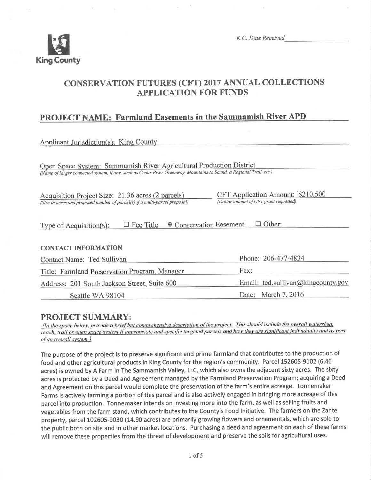

K.C. Date Received

# CONSERVATION FUTURES (CFT) 2017 ANNUAL COLLECTIONS APPLICATION FOR FUNDS

## PROJECT NAME: Farmland Easements in the Sammamish River APD

| Applicant Jurisdiction(s): King County                                                                                                                                                     |                                                                             |  |  |  |
|--------------------------------------------------------------------------------------------------------------------------------------------------------------------------------------------|-----------------------------------------------------------------------------|--|--|--|
| Open Space System: Sammamish River Agricultural Production District<br>(Name of larger connected system, if any, such as Cedar River Greenway, Mountains to Sound, a Regional Trail, etc.) |                                                                             |  |  |  |
| Acquisition Project Size: 21.36 acres (2 parcels)<br>(Size in acres and proposed number of parcel(s) if a multi-parcel proposal)                                                           | CFT Application Amount: \$210,500<br>(Dollar amount of CFT grant requested) |  |  |  |
| <b><math>\Phi</math> Conservation Easement</b><br>Other:<br>$\Box$ Fee Title<br>Type of Acquisition(s):                                                                                    |                                                                             |  |  |  |
| <b>CONTACT INFORMATION</b>                                                                                                                                                                 |                                                                             |  |  |  |
| Phone: 206-477-4834<br>Contact Name: Ted Sullivan                                                                                                                                          |                                                                             |  |  |  |
| Title: Farmland Preservation Program, Manager                                                                                                                                              | Fax:                                                                        |  |  |  |
| Address: 201 South Jackson Street, Suite 600                                                                                                                                               | Email: ted.sullivan@kingcounty.gov                                          |  |  |  |
| Seattle WA 98104                                                                                                                                                                           | Date: March 7, 2016                                                         |  |  |  |

**PROJECT SUMMARY:**<br>(In the space below, provide a brief but comprehensive description of the project. This should include the overall watershed, reach, trail or open space system if appropriate and specific targeted parcels and how they are significant individually and as part of an overall system.)

The purpose of the project is to preserve significant and prime farmland that contributes to the production of food and other agricultural products in King County for the region's community. Parcel 152605-9102 (6.46 acres) is owned by A Farm ln The Sammamish Valley, LLC, which also owns the adjacent sixty acres. The sixty acres is protected by a Deed and Agreement managed by the Farmland Preservation Program; acquiring a Deed and Agreement on this parcel would complete the preservation of the farm's entire acreage. Tonnemaker Farms is actively farming a portion of this parcel and is also actively engaged in bringing more acreage of this parcel into production. Tonnemaker intends on investing more into the farm, as well as selling fruits and vegetables from the farm stand, which contributes to the County's Food lnitiative. The farmers on the Zante property, parcel L02605-9030 (14.90 acres) are primarily growing flowers and ornamentals, which are sold to the public both on site and in other market locations. Purchasing a deed and agreement on each of these farms will remove these properties from the threat of development and preserve the soils for agricultural uses.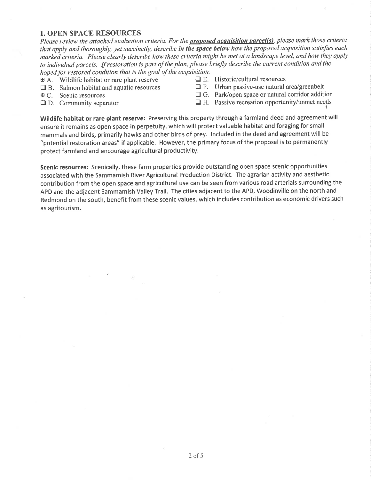#### 1. OPEN SPACE RESOURCES

Please review the attached evaluation criteria. For the **proposed acquisition parcel(s)**, please mark those criteria that apply and thoroughly, yet succinctly, describe in the space below how the proposed acquisition satisfies each marked criteria. Please clearly describe how these criteria might be met at a landscape level, and how they apply to individual parcels. If restoration is part of the plan, please briefly describe the current condition and the hoped for restored condition that is the goal of the acquisition.<br>  $\mathbf{A}$  A. Wildlife habitat or rare plant reserve  $\Box$  E. Historic/cultural resources

- $\mathbf{A}$ . Wildlife habitat or rare plant reserve  $\Box$  B. Salmon habitat and aquatic resources
- 
- 
- 
- 
- **the B.** Salmon habitat and aquatic resources **traches and E.** Urban passive-use natural area/greenbelt **E.** C. Scenic resources **traches C.** Park/open space or natural corridor additional
- $\overline{\text{A}}$  C. Scenic resources  $\Box$  G. Park/open space or natural corridor addition  $\Box$  D. Community separator  $\Box$  H. Passive recreation opportunity/unmet needs
	- $\Box$  H. Passive recreation opportunity/unmet needs

Wildlife habitat or rare plant reserve: Preserving this property through a farmland deed and agreement will ensure it remains as open space in perpetuity, which will protect valuable habitat and foraging for small mammals and birds, primarily hawks and other birds of prey. lncluded in the deed and agreement will be "potential restoration areas" if applicable. However, the primary focus of the proposal is to permanently protect farmland and encourage agricultural productivity.

Scenic resources: Scenically, these farm properties provide outstanding open space scenic opportunities associated with the Sammamish River Agricultural Production District. The agrarian activity and aesthetic contribution from the open space and agricultural use can be seen from various road arterials surrounding the APD and the adjacent Sammamish Valley Trail. The cities adjacent to the APD, Woodinville on the north and Redmond on the south, benefit from these scenic values, which includes contribution as economic drivers such as agritourism.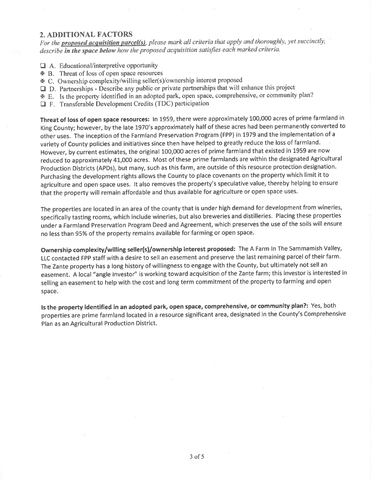#### 2. ADDITIONAL FACTORS

For the **proposed acquisition parcel(s)**, please mark all criteria that apply and thoroughly, yet succinctly, describe in the space below how the proposed acquisition satisfies each marked criteria.

- $\Box$  A. Educational/interpretive opportunity
- x B. Threat of loss of open space resources
- x C. Ownership complexity/wi I ling seller(s)/ownership interest proposed
- E D. Partnerships Describe any public or private partnerships that will enhance this project
- x E. Is the property identified in an adopted park, open space, comprehensive, or community plan?
- $\Box$  F. Transferable Development Credits (TDC) participation

Threat of loss of open space resources: ln 1959, there were approximately L00,000 acres of prime farmland in King County; however, by the late 1970's approximately half of these acres had been permanently converted to other uses. The inception of the Farmland Preservation Program (FPP) in 1979 and the implementation of a variety of County policies and initiatives since then have helped to greatly reduce the loss of farmland. However, by current estimates, the original 100,000 acres of prime farmland that existed in 1959 are now reduced to approximately 41,000 acres. Most of these prime farmlands are within the designated Agricultural Production Districts (APDs), but many, such as this farm, are outside of this resource protection designation. Purchasing the development rights allows the County to place covenants on the property which limit it to agriculture and open space uses. lt also removes the property's speculative value, thereby helping to ensure that the property will remain affordable and thus available for agriculture or open space uses.

The properties are located in an area of the county that is under high demand for development from wineries, specifically tasting rooms, which include wineries, but also breweries and distilleries. Placing these properties under a Farmland Preservation Program Deed and Agreement, which preserves the use of the soils will ensure no less than 95% of the property remains available for farming or open space.

Ownership complexity/willing seller(s)/ownership interest proposed: The A Farm ln The Sammamish Valley, LLC contacted Fpp staff with a desire to sell an easement and preserve the last remaining parcel of their farm' The Zante property has a long history of willingness to engage with the County, but ultimately not sell an easement. A local "angle investor'' is working toward acquisition of the Zante farm; this investor is interested in selling an easement to help with the cost and long term commitment of the property to farming and open space.

ls the property identified in an adopted park, open space, comprehensive, or community plan?: Yes, both properties are prime farmland located in a resource significant area, designated in the County's Comprehensive Plan as an Agricultural Production District.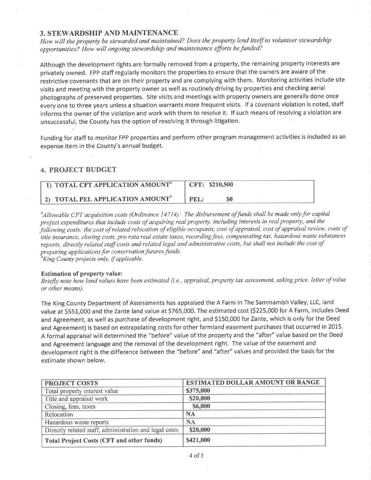#### 3. STEWARDSHIP AND MAINTENANCE

How will the property be stewarded and maintained? Does the property lend itself to volunteer stewardship opportunities? How will ongoing stewardship and maintenance efforts be funded?

Although the development rights are formally removed from a property, the remaining property interests are privately owned. FPP staff regularly monitors the properties to ensure that the owners are aware of the restrictive covenants that are on their property and are complying with them. Monitoring activities include site visits and meeting with the property owner as well as routinely driving by properties and checking aerial photographs of preserved properties. Site visits and meetings with property owners are generally done once every one to three years unless a situation warrants more frequent visits. lf a covenant violation is noted, staff informs the owner of the violation and work with them to resolve it. If such means of resolving a violation are unsuccessful, the County has the option of resolving it through litigation.

Funding for staff to monitor FPP properties and perform other program management activities is included as an expense item in the County's annual budget.

#### 4. PROJECT BUDGET

| <b>TOTAL CFT APPLICATION AMOUNT<sup>a</sup></b> | CFT: \$210,500 |
|-------------------------------------------------|----------------|
| <b>2) TOTAL PEL APPLICATION AMOUNT</b>          | PEL :          |

<sup>a</sup>Allowable CFT acquisition costs (Ordinance 14714): The disbursement of funds shall be made only for capital project expenditures that include costs of acquiring real property, including interests in real property, qnd the following costs; the cost of related relocation of eligible occupants, cost of appraisal, cost of appraisal review, costs of title insurance, closing costs, pro rata real estate taxes, recording fees, compensating tax, hazardous waste substances reports, directly related staff costs and related legal and administrative costs, but shall not include the cost of preparing applications þr conservation futures funds.

 ${}^b$ King County projects only, if applicable.

#### Estimation of property value:

Briefly note how land values have been estimated (i.e., appraisal, property tax assessment, asking price, letter of value or other means).

The King County Department of Assessments has appraised the A Farm ln The Sammamish Valley, LLC, land value at \$55L,OOO and the Zante land value at 5765,000. The estimated cost (5225,000 for A Farm, includes Deed and Agreement, as well as purchase of development right, and 5150,000 for Zante, which is only for the Deed and Agreement) is based on extrapolating costs for other farmland easement purchases that occurred in 2015. A formal appraisal will determined the "before" value of the property and the "after" value based on the Deed and Agreement language and the removal of the development right. The value of the easement and development right is the difference between the "before" and "after" values and provided the basis for the estimate shown below.

| <b>PROJECT COSTS</b>                                   | <b>ESTIMATED DOLLAR AMOUNT OR RANGE</b> |
|--------------------------------------------------------|-----------------------------------------|
| Total property interest value                          | \$375,000                               |
| Title and appraisal work                               | \$20,000                                |
| Closing, fees, taxes                                   | \$6,000                                 |
| Relocation                                             | <b>NA</b>                               |
| Hazardous waste reports                                | <b>NA</b>                               |
| Directly related staff, administration and legal costs | \$20,000                                |
| <b>Total Project Costs (CFT and other funds)</b>       | \$421,000                               |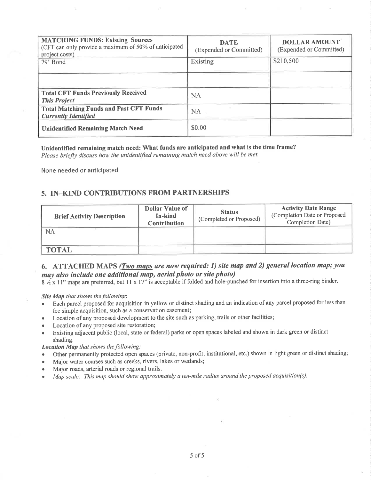| <b>MATCHING FUNDS: Existing Sources</b><br>(CFT can only provide a maximum of 50% of anticipated<br>project costs)<br>79' Bond | <b>DATE</b><br>(Expended or Committed)<br>Existing | <b>DOLLAR AMOUNT</b><br>(Expended or Committed)<br>\$210,500 |
|--------------------------------------------------------------------------------------------------------------------------------|----------------------------------------------------|--------------------------------------------------------------|
| <b>Total CFT Funds Previously Received</b><br><b>This Project</b>                                                              | <b>NA</b>                                          |                                                              |
| <b>Total Matching Funds and Past CFT Funds</b><br><b>Currently Identified</b>                                                  | <b>NA</b>                                          |                                                              |
| <b>Unidentified Remaining Match Need</b>                                                                                       | \$0.00                                             |                                                              |

#### Unidentified remaining match need: What funds are anticipated and what is the time frame?

Please briefly discuss how the unidentified remaining match need above will be met.

None needed or anticipated

### 5. IN-KIND CONTRIBUTIONS FROM PARTNERSHIPS

| <b>Brief Activity Description</b> | <b>Dollar Value of</b><br>In-kind<br><b>Contribution</b> | <b>Status</b><br>(Completed or Proposed) | <b>Activity Date Range</b><br>(Completion Date or Proposed<br>Completion Date) |
|-----------------------------------|----------------------------------------------------------|------------------------------------------|--------------------------------------------------------------------------------|
| NA                                |                                                          |                                          |                                                                                |
| <b>TOTAL</b>                      |                                                          |                                          |                                                                                |

## 6. ATTACHED MAPS (*Two maps are now required: 1*) site map and 2) general location map; you may also include one additional map, aerial photo or site photo)

8 1/2 x 11" maps are preferred, but 11 x 17" is acceptable if folded and hole-punched for insertion into a three-ring binder.

Site Map that shows the following:

- Each parcel proposed for acquisition in yellow or distinct shading and an indication of any parcel proposed for less than  $\bullet$ fee simple acquisition, such as a conservation easement;
- Location of any proposed development to the site such as parking, trails or other facilities;
- Location of any proposed site restoration;
- Existing adjacent public (local, state or federal) parks or open spaces labeled and shown in dark green or distinct shading.

Location Map that shows the following:

- Other permanently protected open spaces (private, non-profit, institutional, etc.) shown in light green or distinct shading;
- Major water courses such as creeks, rivers, lakes or wetlands;  $\bullet$
- Major roads, arterial roads or regional trails.
- Map scale: This map should show approximately a ten-mile radius around the proposed acquisition(s).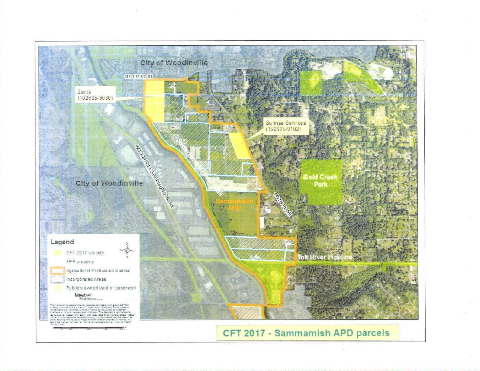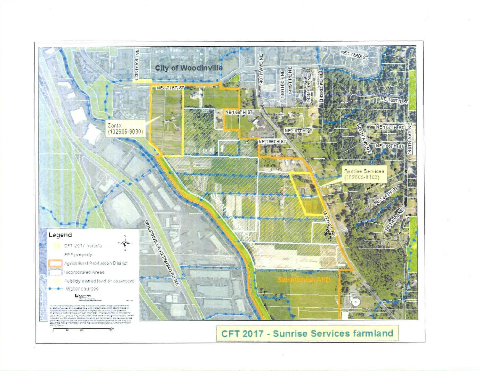